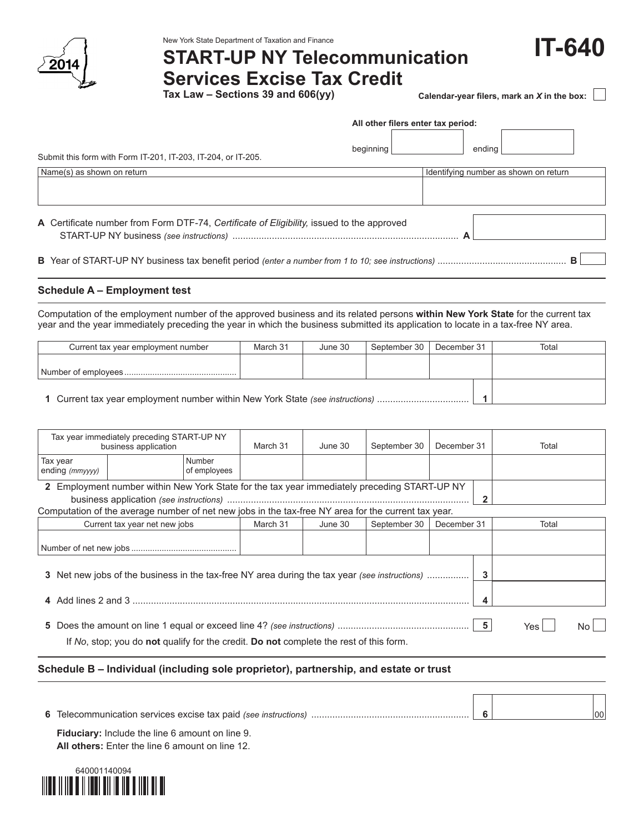

**IT-640** New York State Department of Taxation and Finance **START-UP NY Telecommunication Services Excise Tax Credit**

**Tax Law – Sections 39 and 606(yy)**

|  | Calendar-year filers, mark an X in the box: $\;\lfloor\;\rfloor$ |  |
|--|------------------------------------------------------------------|--|
|--|------------------------------------------------------------------|--|

|                                                                                           | All other filers enter tax period: |                                       |   |  |  |  |
|-------------------------------------------------------------------------------------------|------------------------------------|---------------------------------------|---|--|--|--|
| Submit this form with Form IT-201, IT-203, IT-204, or IT-205.                             | beginning                          | endina                                |   |  |  |  |
| Name(s) as shown on return                                                                |                                    | Identifying number as shown on return |   |  |  |  |
|                                                                                           |                                    |                                       |   |  |  |  |
| A Certificate number from Form DTF-74, Certificate of Eligibility, issued to the approved |                                    |                                       |   |  |  |  |
|                                                                                           |                                    |                                       | в |  |  |  |

# **Schedule A – Employment test**

Computation of the employment number of the approved business and its related persons **within New York State** for the current tax year and the year immediately preceding the year in which the business submitted its application to locate in a tax-free NY area.

| Current tax year employment number                                            | March 31 | June 30 | September 30 | December 31 | Total |
|-------------------------------------------------------------------------------|----------|---------|--------------|-------------|-------|
|                                                                               |          |         |              |             |       |
| 1 Current tax year employment number within New York State (see instructions) |          |         |              |             |       |

**1** Current tax year employment number within New York State *(see instructions)* ................................... **1**

| Tax year immediately preceding START-UP NY<br>business application                                                                                                                                                    |  | March 31 | June 30  | September 30 | December 31  |             | Total |       |
|-----------------------------------------------------------------------------------------------------------------------------------------------------------------------------------------------------------------------|--|----------|----------|--------------|--------------|-------------|-------|-------|
| Tax year<br>Number<br>ending (mmyyyy)<br>of employees                                                                                                                                                                 |  |          |          |              |              |             |       |       |
| 2 Employment number within New York State for the tax year immediately preceding START-UP NY<br>$\overline{2}$<br>Computation of the average number of net new jobs in the tax-free NY area for the current tax year. |  |          |          |              |              |             |       |       |
|                                                                                                                                                                                                                       |  |          | March 31 | June 30      | September 30 | December 31 |       | Total |
| Current tax year net new jobs                                                                                                                                                                                         |  |          |          |              |              |             |       |       |
|                                                                                                                                                                                                                       |  |          |          |              |              |             |       |       |
| 3 Net new jobs of the business in the tax-free NY area during the tax year (see instructions)                                                                                                                         |  |          |          |              |              | 3           |       |       |
|                                                                                                                                                                                                                       |  |          |          |              |              |             |       |       |
| If No, stop; you do not qualify for the credit. Do not complete the rest of this form.                                                                                                                                |  |          |          |              |              | Yes         |       |       |

# **Schedule B – Individual (including sole proprietor), partnership, and estate or trust**

|                |  | 00 |
|----------------|--|----|
| $\blacksquare$ |  |    |

**Fiduciary:** Include the line 6 amount on line 9. **All others:** Enter the line 6 amount on line 12.